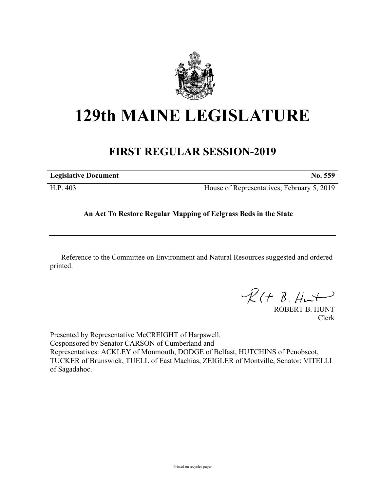

## **129th MAINE LEGISLATURE**

## **FIRST REGULAR SESSION-2019**

| <b>Legislative Document</b> | No. 559                                    |
|-----------------------------|--------------------------------------------|
| H.P. 403                    | House of Representatives, February 5, 2019 |

## **An Act To Restore Regular Mapping of Eelgrass Beds in the State**

Reference to the Committee on Environment and Natural Resources suggested and ordered printed.

 $R(t B. Hmt)$ 

ROBERT B. HUNT Clerk

Presented by Representative McCREIGHT of Harpswell. Cosponsored by Senator CARSON of Cumberland and Representatives: ACKLEY of Monmouth, DODGE of Belfast, HUTCHINS of Penobscot, TUCKER of Brunswick, TUELL of East Machias, ZEIGLER of Montville, Senator: VITELLI of Sagadahoc.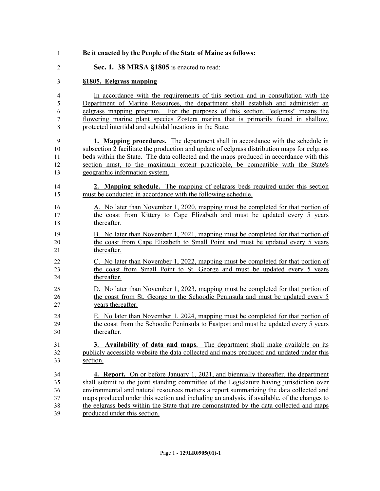| $\mathbf{1}$   | Be it enacted by the People of the State of Maine as follows:                                |
|----------------|----------------------------------------------------------------------------------------------|
| $\overline{2}$ | Sec. 1. 38 MRSA §1805 is enacted to read:                                                    |
| 3              | §1805. Eelgrass mapping                                                                      |
| 4              | In accordance with the requirements of this section and in consultation with the             |
| 5              | Department of Marine Resources, the department shall establish and administer an             |
| 6              | eelgrass mapping program. For the purposes of this section, "eelgrass" means the             |
| 7              | flowering marine plant species Zostera marina that is primarily found in shallow,            |
| 8              | protected intertidal and subtidal locations in the State.                                    |
| 9              | <b>1. Mapping procedures.</b> The department shall in accordance with the schedule in        |
| 10             | subsection 2 facilitate the production and update of eelgrass distribution maps for eelgrass |
| 11             | beds within the State. The data collected and the maps produced in accordance with this      |
| 12             | section must, to the maximum extent practicable, be compatible with the State's              |
| 13             | geographic information system.                                                               |
| 14             | 2. Mapping schedule. The mapping of eelgrass beds required under this section                |
| 15             | must be conducted in accordance with the following schedule.                                 |
| 16             | A. No later than November 1, 2020, mapping must be completed for that portion of             |
| 17             | the coast from Kittery to Cape Elizabeth and must be updated every 5 years                   |
| 18             | thereafter.                                                                                  |
| 19             | B. No later than November 1, 2021, mapping must be completed for that portion of             |
| 20             | the coast from Cape Elizabeth to Small Point and must be updated every 5 years               |
| 21             | thereafter.                                                                                  |
| 22             | C. No later than November 1, 2022, mapping must be completed for that portion of             |
| 23             | the coast from Small Point to St. George and must be updated every 5 years                   |
| 24             | thereafter.                                                                                  |
| 25             | D. No later than November 1, 2023, mapping must be completed for that portion of             |
| 26             | the coast from St. George to the Schoodic Peninsula and must be updated every 5              |
| 27             | years thereafter.                                                                            |
| 28             | E. No later than November 1, 2024, mapping must be completed for that portion of             |
| 29             | the coast from the Schoodic Peninsula to Eastport and must be updated every 5 years          |
| 30             | thereafter.                                                                                  |
| 31             | 3. Availability of data and maps. The department shall make available on its                 |
| 32             | publicly accessible website the data collected and maps produced and updated under this      |
| 33             | section.                                                                                     |
| 34             | 4. Report. On or before January 1, 2021, and biennially thereafter, the department           |
| 35             | shall submit to the joint standing committee of the Legislature having jurisdiction over     |
| 36             | environmental and natural resources matters a report summarizing the data collected and      |
| 37             | maps produced under this section and including an analysis, if available, of the changes to  |
| 38             | the eelgrass beds within the State that are demonstrated by the data collected and maps      |
| 39             | produced under this section.                                                                 |